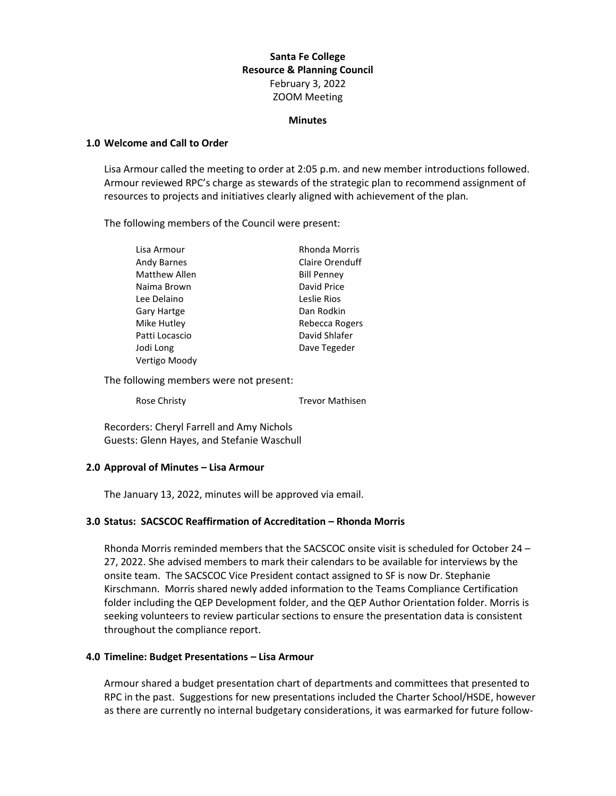# **Santa Fe College Resource & Planning Council** February 3, 2022 ZOOM Meeting

#### **Minutes**

### **1.0 Welcome and Call to Order**

Lisa Armour called the meeting to order at 2:05 p.m. and new member introductions followed. Armour reviewed RPC's charge as stewards of the strategic plan to recommend assignment of resources to projects and initiatives clearly aligned with achievement of the plan.

The following members of the Council were present:

| Lisa Armour          | Rhonda Morris      |
|----------------------|--------------------|
| Andy Barnes          | Claire Orenduff    |
| <b>Matthew Allen</b> | <b>Bill Penney</b> |
| Naima Brown          | David Price        |
| Lee Delaino          | Leslie Rios        |
| <b>Gary Hartge</b>   | Dan Rodkin         |
| Mike Hutley          | Rebecca Rogers     |
| Patti Locascio       | David Shlafer      |
| Jodi Long            | Dave Tegeder       |
| Vertigo Moody        |                    |

The following members were not present:

Rose Christy **Trevor Mathisen** 

Recorders: Cheryl Farrell and Amy Nichols Guests: Glenn Hayes, and Stefanie Waschull

## **2.0 Approval of Minutes – Lisa Armour**

The January 13, 2022, minutes will be approved via email.

## **3.0 Status: SACSCOC Reaffirmation of Accreditation – Rhonda Morris**

Rhonda Morris reminded members that the SACSCOC onsite visit is scheduled for October 24 – 27, 2022. She advised members to mark their calendars to be available for interviews by the onsite team. The SACSCOC Vice President contact assigned to SF is now Dr. Stephanie Kirschmann. Morris shared newly added information to the Teams Compliance Certification folder including the QEP Development folder, and the QEP Author Orientation folder. Morris is seeking volunteers to review particular sections to ensure the presentation data is consistent throughout the compliance report.

### **4.0 Timeline: Budget Presentations – Lisa Armour**

Armour shared a budget presentation chart of departments and committees that presented to RPC in the past. Suggestions for new presentations included the Charter School/HSDE, however as there are currently no internal budgetary considerations, it was earmarked for future follow-